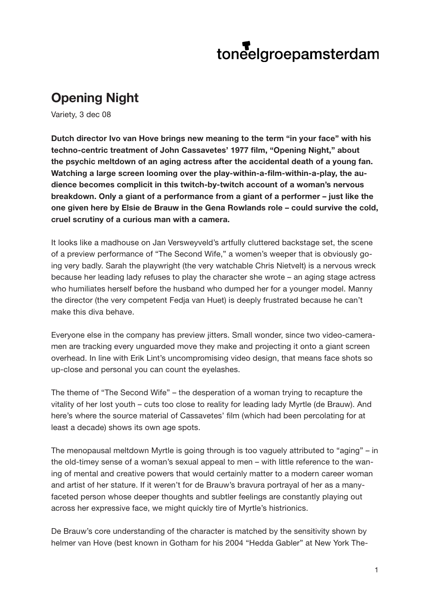## toneelgroepamsterdam

## **Opening Night**

Variety, 3 dec 08

**Dutch director Ivo van Hove brings new meaning to the term "in your face" with his techno-centric treatment of John Cassavetes' 1977 film, "Opening Night," about the psychic meltdown of an aging actress after the accidental death of a young fan. Watching a large screen looming over the play-within-a-film-within-a-play, the audience becomes complicit in this twitch-by-twitch account of a woman's nervous breakdown. Only a giant of a performance from a giant of a performer – just like the one given here by Elsie de Brauw in the Gena Rowlands role – could survive the cold, cruel scrutiny of a curious man with a camera.**

It looks like a madhouse on Jan Versweyveld's artfully cluttered backstage set, the scene of a preview performance of "The Second Wife," a women's weeper that is obviously going very badly. Sarah the playwright (the very watchable Chris Nietvelt) is a nervous wreck because her leading lady refuses to play the character she wrote – an aging stage actress who humiliates herself before the husband who dumped her for a younger model. Manny the director (the very competent Fedja van Huet) is deeply frustrated because he can't make this diva behave.

Everyone else in the company has preview jitters. Small wonder, since two video-cameramen are tracking every unguarded move they make and projecting it onto a giant screen overhead. In line with Erik Lint's uncompromising video design, that means face shots so up-close and personal you can count the eyelashes.

The theme of "The Second Wife" – the desperation of a woman trying to recapture the vitality of her lost youth – cuts too close to reality for leading lady Myrtle (de Brauw). And here's where the source material of Cassavetes' film (which had been percolating for at least a decade) shows its own age spots.

The menopausal meltdown Myrtle is going through is too vaguely attributed to "aging" – in the old-timey sense of a woman's sexual appeal to men – with little reference to the waning of mental and creative powers that would certainly matter to a modern career woman and artist of her stature. If it weren't for de Brauw's bravura portrayal of her as a manyfaceted person whose deeper thoughts and subtler feelings are constantly playing out across her expressive face, we might quickly tire of Myrtle's histrionics.

De Brauw's core understanding of the character is matched by the sensitivity shown by helmer van Hove (best known in Gotham for his 2004 "Hedda Gabler" at New York The-